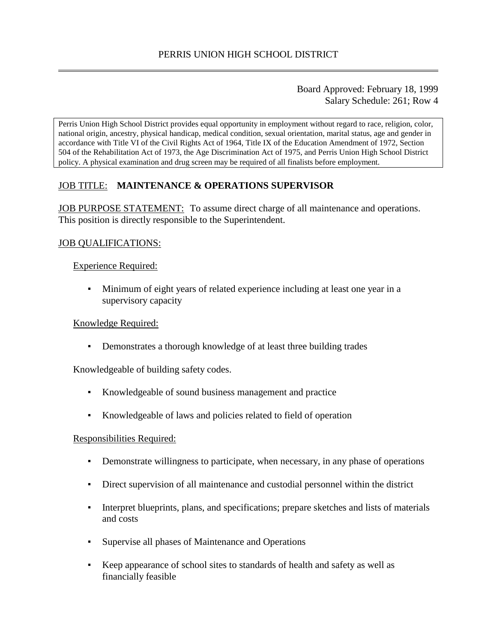## Board Approved: February 18, 1999 Salary Schedule: 261; Row 4

Perris Union High School District provides equal opportunity in employment without regard to race, religion, color, national origin, ancestry, physical handicap, medical condition, sexual orientation, marital status, age and gender in accordance with Title VI of the Civil Rights Act of 1964, Title IX of the Education Amendment of 1972, Section 504 of the Rehabilitation Act of 1973, the Age Discrimination Act of 1975, and Perris Union High School District policy. A physical examination and drug screen may be required of all finalists before employment.

# JOB TITLE: **MAINTENANCE & OPERATIONS SUPERVISOR**

JOB PURPOSE STATEMENT: To assume direct charge of all maintenance and operations. This position is directly responsible to the Superintendent.

## JOB QUALIFICATIONS:

## Experience Required:

▪ Minimum of eight years of related experience including at least one year in a supervisory capacity

## Knowledge Required:

▪ Demonstrates a thorough knowledge of at least three building trades

Knowledgeable of building safety codes.

- Knowledgeable of sound business management and practice
- Knowledgeable of laws and policies related to field of operation

## Responsibilities Required:

- Demonstrate willingness to participate, when necessary, in any phase of operations
- Direct supervision of all maintenance and custodial personnel within the district
- Interpret blueprints, plans, and specifications; prepare sketches and lists of materials and costs
- Supervise all phases of Maintenance and Operations
- Keep appearance of school sites to standards of health and safety as well as financially feasible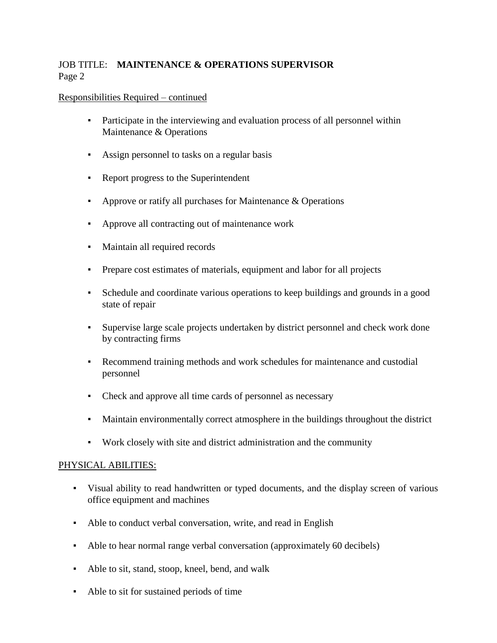# JOB TITLE: **MAINTENANCE & OPERATIONS SUPERVISOR** Page 2

## Responsibilities Required – continued

- Participate in the interviewing and evaluation process of all personnel within Maintenance & Operations
- Assign personnel to tasks on a regular basis
- Report progress to the Superintendent
- **•** Approve or ratify all purchases for Maintenance  $\&$  Operations
- Approve all contracting out of maintenance work
- Maintain all required records
- Prepare cost estimates of materials, equipment and labor for all projects
- Schedule and coordinate various operations to keep buildings and grounds in a good state of repair
- Supervise large scale projects undertaken by district personnel and check work done by contracting firms
- Recommend training methods and work schedules for maintenance and custodial personnel
- Check and approve all time cards of personnel as necessary
- Maintain environmentally correct atmosphere in the buildings throughout the district
- Work closely with site and district administration and the community

## PHYSICAL ABILITIES:

- Visual ability to read handwritten or typed documents, and the display screen of various office equipment and machines
- Able to conduct verbal conversation, write, and read in English
- Able to hear normal range verbal conversation (approximately 60 decibels)
- Able to sit, stand, stoop, kneel, bend, and walk
- Able to sit for sustained periods of time